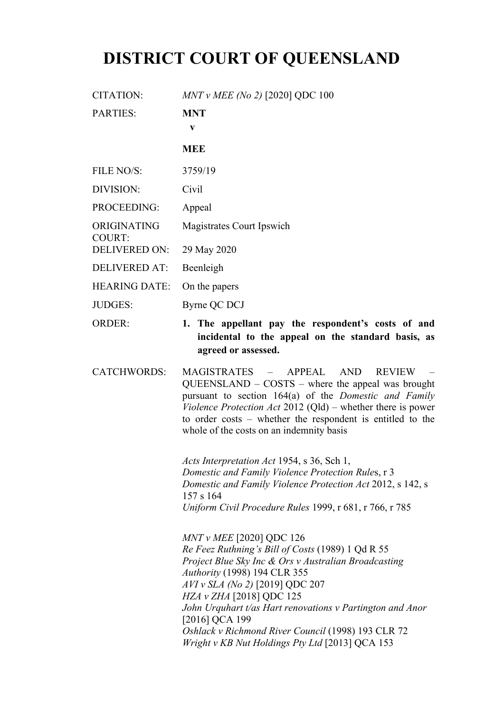# **DISTRICT COURT OF QUEENSLAND**

| <b>CITATION:</b>             | MNT v MEE (No 2) [2020] QDC 100 |
|------------------------------|---------------------------------|
| <b>PARTIES:</b>              | <b>MNT</b><br>V                 |
|                              | <b>MEE</b>                      |
| FILE NO/S:                   | 3759/19                         |
| DIVISION:                    | Civil                           |
| PROCEEDING:                  | Appeal                          |
| ORIGINATING<br><b>COURT:</b> | Magistrates Court Ipswich       |
| <b>DELIVERED ON:</b>         | 29 May 2020                     |
| <b>DELIVERED AT:</b>         | Beenleigh                       |
| <b>HEARING DATE:</b>         | On the papers                   |
| <b>JUDGES:</b>               | Byrne QC DCJ                    |
|                              |                                 |

ORDER: **1. The appellant pay the respondent's costs of and incidental to the appeal on the standard basis, as agreed or assessed.**

CATCHWORDS: MAGISTRATES – APPEAL AND REVIEW – QUEENSLAND – COSTS – where the appeal was brought pursuant to section 164(a) of the *Domestic and Family Violence Protection Act* 2012 (Qld) – whether there is power to order costs – whether the respondent is entitled to the whole of the costs on an indemnity basis

> *Acts Interpretation Act* 1954, s 36, Sch 1, *Domestic and Family Violence Protection Rule*s, r 3 *Domestic and Family Violence Protection Act* 2012, s 142, s 157 s 164 *Uniform Civil Procedure Rules* 1999, r 681, r 766, r 785

> *MNT v MEE* [2020] QDC 126 *Re Feez Ruthning's Bill of Costs* (1989) 1 Qd R 55 *Project Blue Sky Inc & Ors v Australian Broadcasting Authority* (1998) 194 CLR 355 *AVI v SLA (No 2)* [2019] QDC 207 *HZA v ZHA* [2018] QDC 125 *John Urquhart t/as Hart renovations v Partington and Anor*  [2016] QCA 199 *Oshlack v Richmond River Council* (1998) 193 CLR 72 *Wright v KB Nut Holdings Pty Ltd* [2013] QCA 153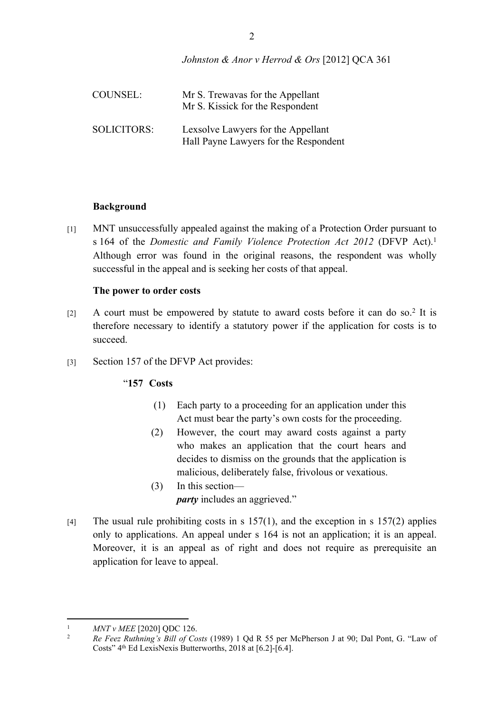*Johnston & Anor v Herrod & Ors* [2012] QCA 361

| COUNSEL:           | Mr S. Trewavas for the Appellant<br>Mr S. Kissick for the Respondent        |
|--------------------|-----------------------------------------------------------------------------|
| <b>SOLICITORS:</b> | Lexsolve Lawyers for the Appellant<br>Hall Payne Lawyers for the Respondent |

#### **Background**

[1] MNT unsuccessfully appealed against the making of a Protection Order pursuant to s 164 of the *Domestic and Family Violence Protection Act 2012* (DFVP Act).<sup>1</sup> Although error was found in the original reasons, the respondent was wholly successful in the appeal and is seeking her costs of that appeal.

### **The power to order costs**

- [2] A court must be empowered by statute to award costs before it can do so.<sup>2</sup> It is therefore necessary to identify a statutory power if the application for costs is to succeed.
- [3] Section 157 of the DFVP Act provides:

# "**157 Costs**

- (1) Each party to a proceeding for an application under this Act must bear the party's own costs for the proceeding.
- (2) However, the court may award costs against a party who makes an application that the court hears and decides to dismiss on the grounds that the application is malicious, deliberately false, frivolous or vexatious.
- (3) In this section *party* includes an aggrieved."
- [4] The usual rule prohibiting costs in s  $157(1)$ , and the exception in s  $157(2)$  applies only to applications. An appeal under s 164 is not an application; it is an appeal. Moreover, it is an appeal as of right and does not require as prerequisite an application for leave to appeal.

<sup>&</sup>lt;sup>1</sup> *MNT v MEE* [2020] QDC 126.<br><sup>2</sup> *Be Feez Buthning's Bill of Co.* 

<sup>2</sup> *Re Feez Ruthning's Bill of Costs* (1989) 1 Qd R 55 per McPherson J at 90; Dal Pont, G. "Law of Costs" 4th Ed LexisNexis Butterworths, 2018 at [6.2]-[6.4].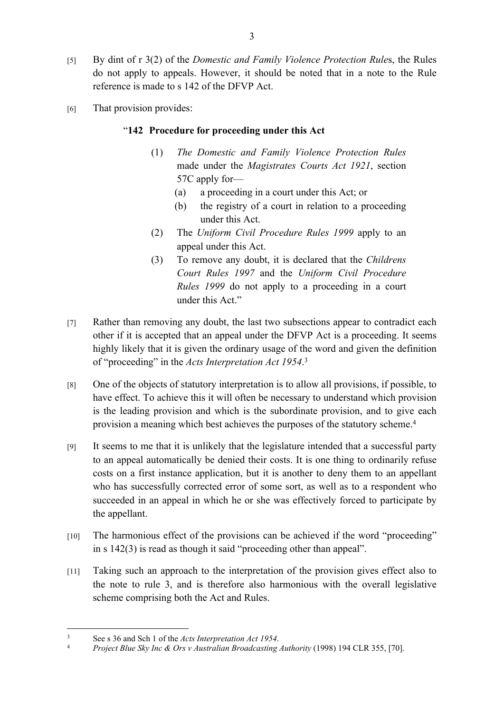- [5] By dint of r 3(2) of the *Domestic and Family Violence Protection Rule*s, the Rules do not apply to appeals. However, it should be noted that in a note to the Rule reference is made to s 142 of the DFVP Act.
- [6] That provision provides:

## "**142 Procedure for proceeding under this Act**

- (1) *The Domestic and Family Violence Protection Rules* made under the *Magistrates Courts Act 1921*, section 57C apply for—
	- (a) a proceeding in a court under this Act; or
	- (b) the registry of a court in relation to a proceeding under this Act.
- (2) The *Uniform Civil Procedure Rules 1999* apply to an appeal under this Act.
- (3) To remove any doubt, it is declared that the *Childrens Court Rules 1997* and the *Uniform Civil Procedure Rules 1999* do not apply to a proceeding in a court under this Act."
- [7] Rather than removing any doubt, the last two subsections appear to contradict each other if it is accepted that an appeal under the DFVP Act is a proceeding. It seems highly likely that it is given the ordinary usage of the word and given the definition of "proceeding" in the *Acts Interpretation Act 1954*. 3
- [8] One of the objects of statutory interpretation is to allow all provisions, if possible, to have effect. To achieve this it will often be necessary to understand which provision is the leading provision and which is the subordinate provision, and to give each provision a meaning which best achieves the purposes of the statutory scheme.<sup>4</sup>
- [9] It seems to me that it is unlikely that the legislature intended that a successful party to an appeal automatically be denied their costs. It is one thing to ordinarily refuse costs on a first instance application, but it is another to deny them to an appellant who has successfully corrected error of some sort, as well as to a respondent who succeeded in an appeal in which he or she was effectively forced to participate by the appellant.
- [10] The harmonious effect of the provisions can be achieved if the word "proceeding" in s 142(3) is read as though it said "proceeding other than appeal".
- [11] Taking such an approach to the interpretation of the provision gives effect also to the note to rule 3, and is therefore also harmonious with the overall legislative scheme comprising both the Act and Rules.

<sup>3</sup> See s 36 and Sch 1 of the *Acts Interpretation Act 1954*.<br>Project Blue Sky Inc. & Ors. y. Australian Broadcasting

<sup>4</sup> *Project Blue Sky Inc & Ors v Australian Broadcasting Authority* (1998) 194 CLR 355, [70].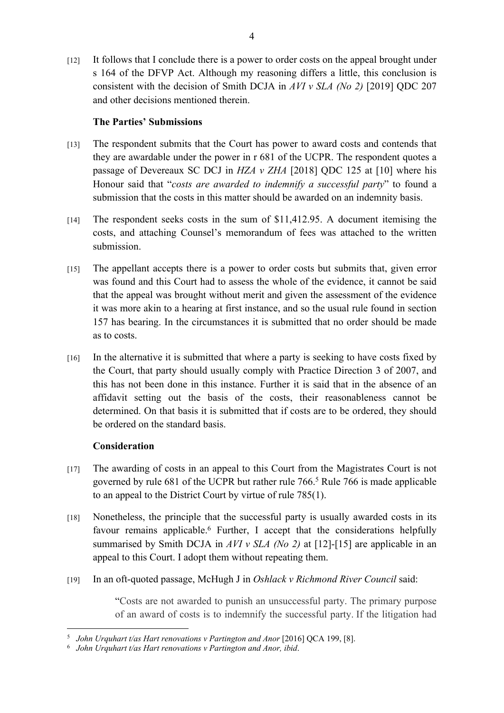[12] It follows that I conclude there is a power to order costs on the appeal brought under s 164 of the DFVP Act. Although my reasoning differs a little, this conclusion is consistent with the decision of Smith DCJA in *AVI v SLA (No 2)* [2019] QDC 207 and other decisions mentioned therein.

# **The Parties' Submissions**

- [13] The respondent submits that the Court has power to award costs and contends that they are awardable under the power in r 681 of the UCPR. The respondent quotes a passage of Devereaux SC DCJ in *HZA v ZHA* [2018] QDC 125 at [10] where his Honour said that "*costs are awarded to indemnify a successful party*" to found a submission that the costs in this matter should be awarded on an indemnity basis.
- [14] The respondent seeks costs in the sum of \$11,412.95. A document itemising the costs, and attaching Counsel's memorandum of fees was attached to the written submission.
- [15] The appellant accepts there is a power to order costs but submits that, given error was found and this Court had to assess the whole of the evidence, it cannot be said that the appeal was brought without merit and given the assessment of the evidence it was more akin to a hearing at first instance, and so the usual rule found in section 157 has bearing. In the circumstances it is submitted that no order should be made as to costs.
- [16] In the alternative it is submitted that where a party is seeking to have costs fixed by the Court, that party should usually comply with Practice Direction 3 of 2007, and this has not been done in this instance. Further it is said that in the absence of an affidavit setting out the basis of the costs, their reasonableness cannot be determined. On that basis it is submitted that if costs are to be ordered, they should be ordered on the standard basis.

# **Consideration**

- [17] The awarding of costs in an appeal to this Court from the Magistrates Court is not governed by rule 681 of the UCPR but rather rule 766.<sup>5</sup> Rule 766 is made applicable to an appeal to the District Court by virtue of rule 785(1).
- [18] Nonetheless, the principle that the successful party is usually awarded costs in its favour remains applicable.<sup>6</sup> Further, I accept that the considerations helpfully summarised by Smith DCJA in *AVI v SLA (No 2)* at [12]-[15] are applicable in an appeal to this Court. I adopt them without repeating them.
- [19] In an oft-quoted passage, McHugh J in *Oshlack v Richmond River Council* said:

"Costs are not awarded to punish an unsuccessful party. The primary purpose of an award of costs is to indemnify the successful party. If the litigation had

<sup>&</sup>lt;sup>5</sup> John Urquhart t/as Hart renovations v Partington and Anor [2016] QCA 199, [8].

<sup>6</sup> *John Urquhart t/as Hart renovations v Partington and Anor, ibid*.